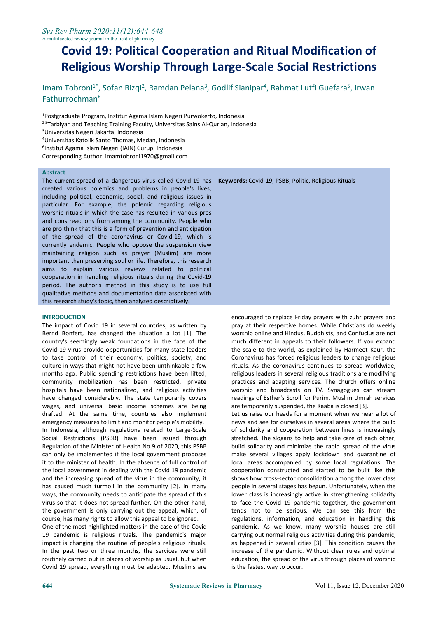# **Covid 19: Political Cooperation and Ritual Modification of Religious Worship Through Large-Scale Social Restrictions**

Imam Tobroni<sup>1\*</sup>, Sofan Rizqi<sup>2</sup>, Ramdan Pelana<sup>3</sup>, Godlif Sianipar<sup>4</sup>, Rahmat Lutfi Guefara<sup>5</sup>, Irwan Fathurrochman 6

<sup>1</sup>Postgraduate Program, Institut Agama Islam Negeri Purwokerto, Indonesia

- <sup>25</sup> Tarbiyah and Teaching Training Faculty, Universitas Sains Al-Qur'an, Indonesia
- <sup>3</sup>Universitas Negeri Jakarta, Indonesia
- <sup>4</sup>Universitas Katolik Santo Thomas, Medan, Indonesia
- 6 Institut Agama Islam Negeri (IAIN) Curup, Indonesia
- Corresponding Author: imamtobroni1970@gmail.com

#### **Abstract**

The current spread of a dangerous virus called Covid-19 has **Keywords:** Covid-19, PSBB, Politic, Religious Rituals created various polemics and problems in people's lives, including political, economic, social, and religious issues in particular. For example, the polemic regarding religious worship rituals in which the case has resulted in various pros and cons reactions from among the community. People who are pro think that this is a form of prevention and anticipation of the spread of the coronavirus or Covid-19, which is currently endemic. People who oppose the suspension view maintaining religion such as prayer (Muslim) are more important than preserving soul or life. Therefore, this research aims to explain various reviews related to political cooperation in handling religious rituals during the Covid-19 period. The author's method in this study is to use full qualitative methods and documentation data associated with this research study's topic, then analyzed descriptively.

### **INTRODUCTION**

The impact of Covid 19 in several countries, as written by Bernd Bonfert, has changed the situation a lot [1]. The country's seemingly weak foundations in the face of the Covid 19 virus provide opportunities for many state leaders to take control of their economy, politics, society, and culture in ways that might not have been unthinkable a few months ago. Public spending restrictions have been lifted, community mobilization has been restricted, private hospitals have been nationalized, and religious activities have changed considerably. The state temporarily covers wages, and universal basic income schemes are being drafted. At the same time, countries also implement emergency measures to limit and monitor people's mobility. In Indonesia, although regulations related to Large-Scale Social Restrictions (PSBB) have been issued through Regulation of the Minister of Health No.9 of 2020, this PSBB can only be implemented if the local government proposes it to the minister of health. In the absence of full control of the local government in dealing with the Covid 19 pandemic and the increasing spread of the virus in the community, it has caused much turmoil in the community [2]. In many ways, the community needs to anticipate the spread of this virus so that it does not spread further. On the other hand, the government is only carrying out the appeal, which, of course, has many rights to allow this appeal to be ignored.

One of the most highlighted matters in the case of the Covid 19 pandemic is religious rituals. The pandemic's major impact is changing the routine of people's religious rituals. In the past two or three months, the services were still routinely carried out in places of worship as usual, but when Covid 19 spread, everything must be adapted. Muslims are

encouraged to replace Friday prayers with zuhr prayers and pray at their respective homes. While Christians do weekly worship online and Hindus, Buddhists, and Confucius are not much different in appeals to their followers. If you expand the scale to the world, as explained by Harmeet Kaur, the Coronavirus has forced religious leaders to change religious rituals. As the coronavirus continues to spread worldwide, religious leaders in several religious traditions are modifying practices and adapting services. The church offers online worship and broadcasts on TV. Synagogues can stream readings of Esther's Scroll for Purim. Muslim Umrah services are temporarily suspended, the Kaaba is closed [3]. Let us raise our heads for a moment when we hear a lot of

news and see for ourselves in several areas where the build of solidarity and cooperation between lines is increasingly stretched. The slogans to help and take care of each other, build solidarity and minimize the rapid spread of the virus make several villages apply lockdown and quarantine of local areas accompanied by some local regulations. The cooperation constructed and started to be built like this shows how cross-sector consolidation among the lower class people in several stages has begun. Unfortunately, when the lower class is increasingly active in strengthening solidarity to face the Covid 19 pandemic together, the government tends not to be serious. We can see this from the regulations, information, and education in handling this pandemic. As we know, many worship houses are still carrying out normal religious activities during this pandemic, as happened in several cities [3]. This condition causes the increase of the pandemic. Without clear rules and optimal education, the spread of the virus through places of worship is the fastest way to occur.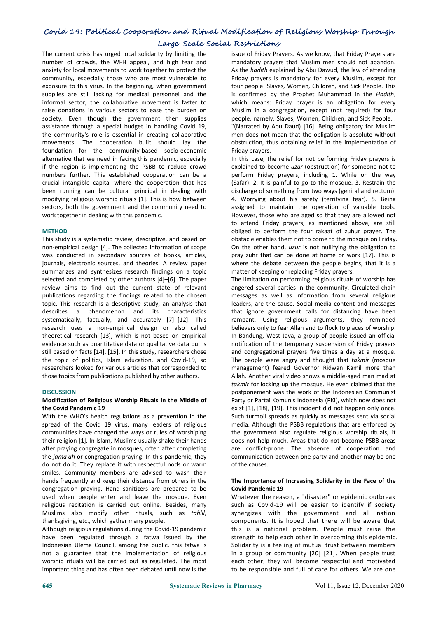## **Covid 19: Political Cooperation and Ritual Modification of Religious Worship Through Large-Scale Social Restrictions**

The current crisis has urged local solidarity by limiting the number of crowds, the WFH appeal, and high fear and anxiety for local movements to work together to protect the community, especially those who are most vulnerable to exposure to this virus. In the beginning, when government supplies are still lacking for medical personnel and the informal sector, the collaborative movement is faster to raise donations in various sectors to ease the burden on society. Even though the government then supplies people, namely, Slaves, Women, Children, and Sick People.. assistance through a special budget in handling Covid 19, the community's role is essential in creating collaborative movements. The cooperation built should lay the foundation for the community-based socio-economic alternative that we need in facing this pandemic, especially if the region is implementing the PSBB to reduce crowd numbers further. This established cooperation can be a crucial intangible capital where the cooperation that has been running can be cultural principal in dealing with modifying religious worship rituals [1]. This is how between sectors, both the government and the community need to work together in dealing with this pandemic.

### **METHOD**

This study is a systematic review, descriptive, and based on non-empirical design [4]. The collected information of scope was conducted in secondary sources of books, articles, journals, electronic sources, and theories. A review paper summarizes and synthesizes research findings on a topic selected and completed by other authors [4]–[6]. The paper review aims to find out the current state of relevant publications regarding the findings related to the chosen topic. This research is a descriptive study, an analysis that describes a phenomenon and its characteristics systematically, factually, and accurately [7]–[12]. This research uses a non-empirical design or also called theoretical research [13], which is not based on empirical<br>evidence such as quantitative data or qualitative data but is still based on facts [14], [15]. In this study, researchers chose the topic of politics, Islam education, and Covid-19, so researchers looked for various articles that corresponded to those topics from publications published by other authors.

### **DISCUSSION**

### **Modification of Religious Worship Rituals in the Middle of the Covid Pandemic 19**

With the WHO's health regulations as a prevention in the spread of the Covid 19 virus, many leaders of religious communities have changed the ways or rules of worshiping their religion [1]. In Islam, Muslims usually shake their hands after praying congregate in mosques, often after completing the *jama'ah* or congregation praying. In this pandemic, they do not do it. They replace it with respectful nods or warm smiles. Community members are advised to wash their hands frequently and keep their distance from others in the congregation praying. Hand sanitizers are prepared to be used when people enter and leave the mosque. Even religious recitation is carried out online. Besides, many Muslims also modify other rituals, such as *tahlil*, thanksgiving, etc., which gather many people.

Although religious regulations during the Covid-19 pandemic have been regulated through a fatwa issued by the Indonesian Ulema Council, among the public, this fatwa is not a guarantee that the implementation of religious worship rituals will be carried out as regulated. The most important thing and has often been debated until now is the

issue of Friday Prayers. As we know, that Friday Prayers are mandatory prayers that Muslim men should not abandon. As the *hadith* explained by Abu Dawud, the law of attending Friday prayers is mandatory for every Muslim, except for four people: Slaves, Women, Children, and Sick People.This is confirmed by the Prophet Muhammad in the *Hadith*, which means: Friday prayer is an obligation for every Muslim in acongregation, except (not required) for four "(Narrated by Abu Daud) [16]. Being obligatory for Muslim men does not mean that the obligation is absolute without obstruction, thus obtaining relief in the implementation of Friday prayers.

In this case, the relief for not performing Friday prayers is explained to become *uzur* (obstruction) for someone not to perform Friday prayers, including 1. While on the way (Safar). 2. It is painful to go to the mosque. 3. Restrain the discharge of something from two ways (genital and rectum). 4. Worrying about his safety (terrifying fear). 5. Being assigned to maintain the operation of valuable tools. However, those who are aged so that they are allowed not to attend Friday prayers, as mentioned above, are still obliged to perform the four rakaat of zuhur prayer. The obstacle enables them not to come to the mosque on Friday. On the other hand, *uzur* is not nullifying the obligation to pray zuhr that can be done at home or work [17]. This is where the debate between the people begins, that it is a matter of keeping or replacing Friday prayers.

The limitation on performing religious rituals of worship has angered several parties in the community. Circulated chain messages as well as information from several religious leaders, are the cause. Social media content and messages that ignore government calls for distancing have been rampant. Using religious arguments, they reminded believers only to fear Allah and to flock to places of worship. In Bandung, West Java, a group of people issued an official notification of the temporary suspension of Friday prayers and congregational prayers five times a day at a mosque. The people were angry and thought that *takmir* (mosque management) feared Governor Ridwan Kamil more than Allah. Another viral video shows a middle-aged man mad at *takmir* for locking up the mosque. He even claimed that the postponement was the work of the Indonesian Communist Party or Partai Komunis Indonesia (PKI), which now does not exist [1], [18], [19]. This incident did not happen only once. Such turmoil spreads as quickly as messages sent via social media. Although the PSBB regulations that are enforced by the government also regulate religious worship rituals, it does not help much. Areas that do not become PSBB areas are conflict-prone. The absence of cooperation and communication between one party and another may be one of the causes.

### **The Importance of Increasing Solidarity in the Face of the Covid Pandemic 19**

Whatever the reason, a "disaster" or epidemic outbreak such as Covid-19 will be easier to identify if society synergizes with the government and all nation components. It is hoped that there will be aware that this is a national problem. People must raise the strength to help each other in overcoming this epidemic. Solidarity is a feeling of mutual trust between members in a group or community [20] [21]. When people trust each other, they will become respectful and motivated to be responsible and full of care for others. We are one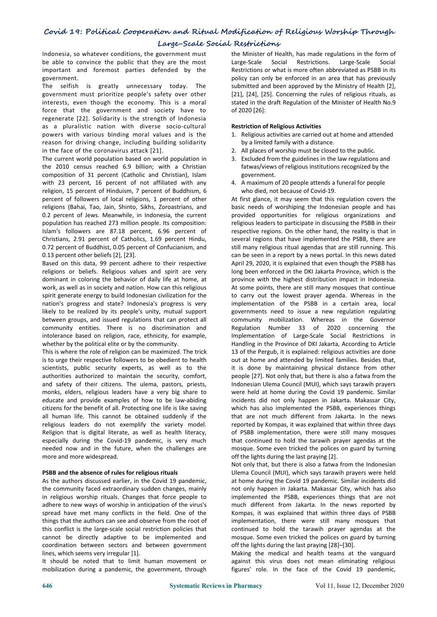## **Covid 19: Political Cooperation and Ritual Modification of Religious Worship Through**

### **Large-Scale Social Restrictions**

Indonesia, so whatever conditions, the government must be able to convince the public that they are the most important and foremost parties defended by the government.

The selfish is greatly unnecessary today. The government must prioritize people's safety over other interests, even though the economy. This is a moral force that the government and society have to regenerate [22]. Solidarity is the strength of Indonesia as a pluralistic nation with diverse socio-cultural powers with various binding moral values and is the reason for driving change, including building solidarity in the face of the coronavirus attack [21].

The current world population based on world population in the 2010 census reached 6.9 billion; with a Christian composition of 31 percent (Catholic and Christian), Islam with 23 percent, 16 percent of not affiliated with any religion, 15 percent of Hinduism, 7 percent of Buddhism, 6 percent of followers of local religions, 1 percent of other religions (Bahai, Tao, Jain, Shinto, Sikhs, Zoroastrians, and 0.2 percent of Jews. Meanwhile, in Indonesia, the current population has reached 273 million people. Its composition: Islam's followers are 87.18 percent, 6.96 percent of Christians, 2.91 percent of Catholics, 1.69 percent Hindu, 0.72 percent of Buddhist, 0.05 percent of Confucianism, and 0.13 percent other beliefs [2], [23].

Based on this data, 99 percent adhere to their respective religions or beliefs. Religious values and spirit are very dominant in coloring the behavior of daily life at home, at work, as well as in society and nation. How can this religious spirit generate energy to build Indonesian civilization for the nation's progress and state? Indonesia's progress is very likely to be realized by its people's unity, mutual support between groups, and issued regulations that can protect all community entities. There is no discrimination and intolerance based on religion, race, ethnicity, for example, whether by the political elite or by the community.

This is where the role of religion can be maximized. The trick is to urge their respective followers to be obedient to health scientists, public security experts, as well as to the authorities authorized to maintain the security, comfort, and safety of their citizens. The ulema, pastors, priests, monks, elders, religious leaders have a very big share to educate and provide examples of how to be law-abiding citizens for the benefit of all. Protecting one life is like saving all human life. This cannot be obtained suddenly if the religious leaders do not exemplify the variety model. Religion that is digital literate, as well as health literacy, especially during the Covid-19 pandemic, is very much needed now and in the future, when the challenges are more and more widespread.

### **PSBB and the absence of rules for religious rituals**

As the authors discussed earlier, in the Covid 19 pandemic, the community faced extraordinary sudden changes, mainly in religious worship rituals. Changes that force people to adhere to new ways of worship in anticipation of the virus's spread have met many conflicts in the field. One of the things that the authors can see and observe from the root of this conflict is the large-scale social restriction policies that cannot be directly adaptive to be implemented and coordination between sectors and between government lines, which seems very irregular [1].

It should be noted that to limit human movement or mobilization during a pandemic, the government, through

the Minister of Health, has made regulations in the form of Large-Scale Social Restrictions. Large-Scale Social Restrictions or what is more often abbreviated as PSBB in its policy can only be enforced in an area that has previously submitted and been approved by the Ministry of Health [2], [21], [24], [25]. Concerning the rules of religious rituals, as stated in the draft Regulation of the Minister of Health No.9 of 2020 [26]:

### **Restriction of Religious Activities**

- 1. Religious activities are carried out at home and attended by a limited family with a distance.
- 2. All places of worship must be closed to the public.
- 3. Excluded from the guidelines in the law regulations and fatwas/views of religious institutions recognized by the government.
- 4. A maximum of 20 people attends a funeral for people who died, not because of Covid-19.

At first glance, it may seem that this regulation covers the basic needs of worshiping the Indonesian people and has provided opportunities for religious organizations and religious leaders to participate in discussing the PSBB in their respective regions. On the other hand, the reality is that in several regions that have implemented the PSBB, there are still many religious ritual agendas that are still running. This can be seen in a report by a news portal. In this news dated April 29, 2020, it is explained that even though the PSBB has long been enforced in the DKI Jakarta Province, which is the province with the highest distribution impact in Indonesia. At some points, there are still many mosques that continue to carry out the lowest prayer agenda. Whereas in the implementation of the PSBB in a certain area, local governments need to issue a new regulation regulating community mobilization. Whereas in the Governor Regulation Number 33 of 2020 concerning the Implementation of Large-Scale Social Restrictions in Handling in the Province of DKI Jakarta, According to Article 13 of the Pergub, it is explained: religious activities are done out at home and attended by limited families. Besides that, it is done by maintaining physical distance from other people [27]. Not only that, but there is also a fatwa from the Indonesian Ulema Council (MUI), which says tarawih prayers were held at home during the Covid 19 pandemic. Similar incidents did not only happen in Jakarta. Makassar City, which has also implemented the PSBB, experiences things that are not much different from Jakarta. In the news reported by Kompas, it was explained that within three days of PSBB implementation, there were still many mosques that continued to hold the tarawih prayer agendas at the mosque. Some even tricked the polices on guard by turning off the lights during the last praying [2].

Not only that, but there is also a fatwa from the Indonesian Ulema Council (MUI), which says tarawih prayers were held at home during the Covid 19 pandemic. Similar incidents did not only happen in Jakarta. Makassar City, which has also implemented the PSBB, experiences things that are not much different from Jakarta. In the news reported by Kompas, it was explained that within three days of PSBB implementation, there were still many mosques that continued to hold the tarawih prayer agendas at the mosque. Some even tricked the polices on guard by turning off the lights during the last praying [28]–[30].

Making the medical and health teams at the vanguard against this virus does not mean eliminating religious figures' role. In the face of the Covid 19 pandemic,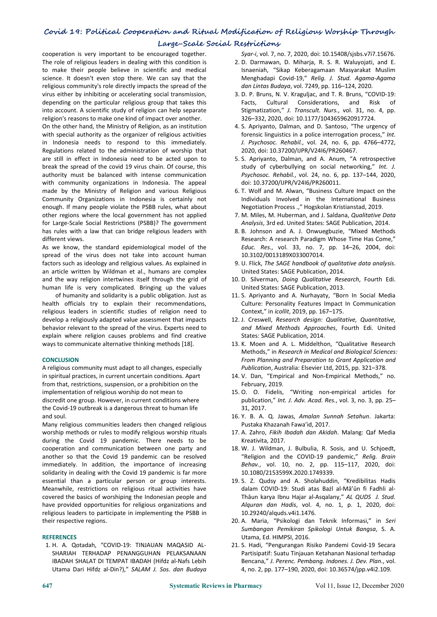## **Covid 19: Political Cooperation and Ritual Modification of Religious Worship Through Large-Scale Social Restrictions**

cooperation is very important to be encouraged together. The role of religious leaders in dealing with this condition is to make their people believe in scientific and medical science. It doesn't even stop there. We can say that the religious community's role directly impacts the spread of the virus either by inhibiting or accelerating social transmission, depending on the particular religious group that takes this into account. A scientific study of religion can help separate religion's reasons to make one kind of impact over another.

On the other hand, the Ministry of Religion, as an institution with special authority as the organizer of religious activities in Indonesia needs to respond to this immediately. Regulations related to the administration of worship that are still in effect in Indonesia need to be acted upon to break the spread of the covid 19 virus chain. Of course, this study of cyberbullying on social networking." Int. J. authority must be balanced with intense communication with community organizations in Indonesia. The appeal made by the Ministry of Religion and various Religious Community Organizations in Indonesia is certainly not enough. If many people violate the PSBB rules, what about other regions where the local government has not applied for Large-Scale Social Restrictions (PSBB)? The government has rules with a law that can bridge religious leaders with different views.

As we know, the standard epidemiological model of the spread of the virus does not take into account human factors such as ideology and religious values. As explained in an article written by Wildman et al., humans are complex and the way religion intertwines itself through the grid of human life is very complicated. Bringing up the values

of humanity and solidarity is a public obligation. Just as health officials try to explain their recommendations, religious leaders in scientific studies of religion need to develop a religiously adapted value assessment that impacts behavior relevant to the spread of the virus. Experts need to explain where religion causes problems and find creative ways to communicate alternative thinking methods [18].

#### **CONCLUSION**

A religious community mustadapt to all changes, especially in spiritual practices, in current uncertain conditions. Apart from that, restrictions, suspension, or a prohibition on the implementation of religious worship do not mean to discredit one group. However, in current conditions where the Covid-19 outbreak is a dangerous threat to human life and soul.

Many religious communities leaders then changed religious worship methods or rules to modify religious worship rituals during the Covid 19 pandemic. There needs to be cooperation and communication between one party and another so that the Covid 19 pandemic can be resolved immediately. In addition, the importance of increasing solidarity in dealing with the Covid 19 pandemic is far more essential than a particular person or group interests. Meanwhile, restrictions on religious ritual activities have covered the basics of worshiping the Indonesian people and have provided opportunities for religious organizations and religious leaders to participate in implementing the PSBB in their respective regions.

#### **REFERENCES**

1. H. A. Qotadah, "COVID-19: TINJAUAN MAQASID AL- SHARIAH TERHADAP PENANGGUHAN PELAKSANAAN IBADAH SHALAT DI TEMPAT IBADAH (Hifdz al-Nafs Lebih Utama Dari Hifdz al-Din?)," *SALAM J. Sos. dan Budaya* *Syar-i*, vol. 7, no. 7, 2020, doi: 10.15408/sjsbs.v7i7.15676.

- 2. D. Darmawan, D. Miharja, R. S. R. Waluyojati, and E. Isnaeniah, "Sikap Keberagamaan Masyarakat Muslim Menghadapi Covid-19," *Relig. J. Stud. Agama-Agama dan Lintas Budaya*, vol. 7249, pp. 116–124, 2020.
- 3. D. P. Bruns, N. V. Kraguljac, and T. R. Bruns, "COVID-19: Cultural Considerations, and Risk of Stigmatization," *J. Transcult. Nurs.*, vol. 31, no. 4, pp. 326–332, 2020, doi: 10.1177/1043659620917724.
- 4. S. Apriyanto, Dalman, and D. Santoso, "The urgency of forensic linguistics in a police interrogation process," *Int. J. Psychosoc. Rehabil.*, vol. 24, no. 6, pp. 4766–4772, 2020, doi: 10.37200/IJPR/V24I6/PR260467.
- 5. S. Apriyanto, Dalman, and A. Anum, "A retrospective study of cyberbullying on socialnetworking," *Int. J.Psychosoc. Rehabil.*, vol. 24, no. 6, pp. 137–144, 2020, doi: 10.37200/IJPR/V24I6/PR260011.
- 6. T. Wolf and M. Alwan, "Business Culture Impact on the Individuals Involved in the International Business Negotiation Process .," Hogskolan Kristianstad,2019.
- 7. M. Miles, M. Huberman, and J. Saldana, *Qualitative Data Analysis*, 3rd ed. United States: SAGE Publication, 2014.
- 8. B. Johnson and A. J. Onwuegbuzie, "Mixed Methods Research: A research Paradigm Whose Time Has Come," *Educ. Res.*, vol. 33, no. 7, pp. 14–26, 2004, doi: 10.3102/0013189X033007014.
- 9. U. Flick, *The SAGE handbook of qualitative data analysis*. United States: SAGE Publication, 2014.
- 10. D. Silverman, *Doing Qualitative Research*, Fourth Edi. United States: SAGE Publication, 2013.
- 11. S. Apriyanto and A. Nurhayaty, "Born In Social Media Culture: Personality Features Impact In Communication Context," in *icollit*, 2019, pp. 167–175.
- 12. J. Creswell, *Research design: Qualitative, Quantitative, and Mixed Methods Approaches*, Fourth Edi. United States: SAGE Publication, 2014.
- 13. K. Moen and A. L. Middelthon, "Qualitative Research Methods," in *Research in Medical and Biological Sciences: From Planning and Preparation to Grant Application and Publication*, Australia: Elsevier Ltd, 2015, pp. 321–378.
- 14. V. Dan, "Empirical and Non-Empirical Methods," no. February, 2019.
- 15. O. O. Fidelis, "Writing non-empirical articles for publication," *Int. J. Adv. Acad. Res.*, vol. 3, no. 3, pp. 25– 31, 2017.
- 16. Y. B. A. Q. Jawas, *Amalan Sunnah Setahun*. Jakarta: Pustaka Khazanah Fawa'id, 2017.
- 17. A. Zahro, *Fikih Ibadah dan Akidah*. Malang: Qaf Media Kreativita, 2017.
- 18. W. J. Wildman, J. Bulbulia, R. Sosis, and U. Schjoedt, "Religion and the COVID-19 pandemic," *Relig. Brain Behav.*, vol. 10, no. 2, pp. 115–117, 2020, doi: 10.1080/2153599X.2020.1749339.
- 19. S. Z. Qudsy and A. Sholahuddin, "Kredibilitas Hadis dalam COVID-19: Studi atas Bażl al-Mā'ūn fi Fadhli al- Thāun karya Ibnu Hajar al-Asqalany," *AL QUDS J. Stud. Alquran dan Hadis*, vol. 4, no. 1, p. 1, 2020, doi: 10.29240/alquds.v4i1.1476.
- 20. A. Maria, "Psikologi dan Teknik Informasi," in *Seri Sumbangan Pemikiran Spikologi Untuk Bangsa*, S. A. Utama, Ed. HIMPSI, 2016.
- 21. S. Hadi, "Pengurangan Risiko Pandemi Covid-19 Secara Partisipatif: Suatu Tinjauan Ketahanan Nasional terhadap Bencana," *J. Perenc. Pembang. Indones. J. Dev. Plan.*, vol. 4, no. 2, pp. 177–190, 2020, doi: 10.36574/jpp.v4i2.109.